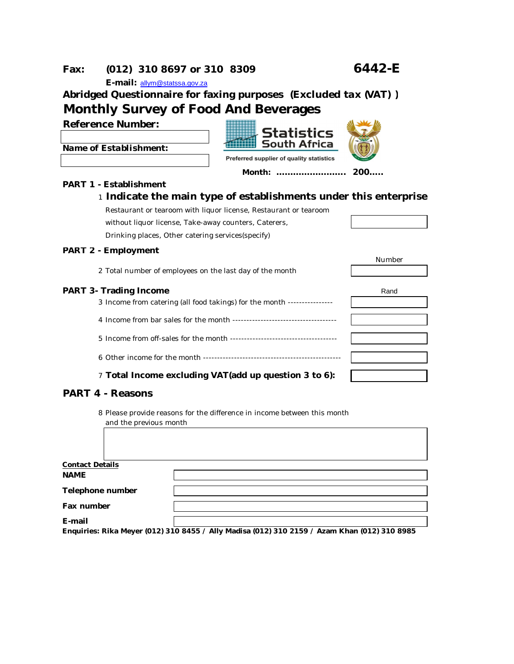## **Fax: (012) 310 8697 or 310 8309 6442-E**

**E-mail:** allym@statssa.gov.za

**Abridged Questionnaire for faxing purposes (***Excluded tax (VAT)* **)**

| Monthly Survey of Food And Beverages                     |                                                                          |        |
|----------------------------------------------------------|--------------------------------------------------------------------------|--------|
| Reference Number:                                        | <b>Statistics</b><br><b>South Africa</b>                                 |        |
| Name of Establishment:                                   |                                                                          |        |
|                                                          | Preferred supplier of quality statistics                                 |        |
|                                                          | Month:                                                                   | 200    |
| PART 1 - Establishment                                   |                                                                          |        |
|                                                          | 1 Indicate the main type of establishments under this enterprise         |        |
|                                                          | Restaurant or tearoom with liquor license, Restaurant or tearoom         |        |
| without liquor license, Take-away counters, Caterers,    |                                                                          |        |
| Drinking places, Other catering services(specify)        |                                                                          |        |
| PART 2 - Employment                                      |                                                                          |        |
|                                                          |                                                                          | Number |
| 2 Total number of employees on the last day of the month |                                                                          |        |
| PART 3- Trading Income                                   |                                                                          | Rand   |
|                                                          | 3 Income from catering (all food takings) for the month ---------------- |        |
|                                                          |                                                                          |        |
|                                                          |                                                                          |        |
|                                                          |                                                                          |        |
|                                                          | 7 Total Income excluding VAT (add up question 3 to 6):                   |        |

## **PART 4 - Reasons**

8 Please provide reasons for the difference in income between this month and the previous month

| <b>Contact Details</b> |  |
|------------------------|--|
| <b>NAME</b>            |  |
| Telephone number       |  |
| Fax number             |  |
| E-mail                 |  |

**Enquiries: Rika Meyer (012) 310 8455 / Ally Madisa (012) 310 2159 / Azam Khan (012) 310 8985**